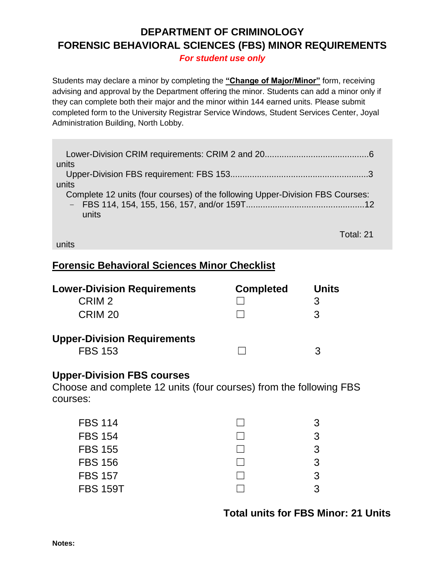## **DEPARTMENT OF CRIMINOLOGY FORENSIC BEHAVIORAL SCIENCES (FBS) MINOR REQUIREMENTS**

*For student use only*

Students may declare a minor by completing the **"Change of Major/Minor"** form, receiving advising and approval by the Department offering the minor. Students can add a minor only if they can complete both their major and the minor within 144 earned units. Please submit completed form to the University Registrar Service Windows, Student Services Center, Joyal Administration Building, North Lobby.

| units                                                                         |
|-------------------------------------------------------------------------------|
|                                                                               |
| units                                                                         |
| Complete 12 units (four courses) of the following Upper-Division FBS Courses: |
|                                                                               |
| units                                                                         |
|                                                                               |
| Total: 21                                                                     |

units

## **Forensic Behavioral Sciences Minor Checklist**

| <b>Lower-Division Requirements</b> | <b>Completed</b> | <b>Units</b> |
|------------------------------------|------------------|--------------|
| CRIM <sub>2</sub>                  |                  |              |
| CRIM <sub>20</sub>                 |                  | 3            |
| <b>Upper-Division Requirements</b> |                  |              |
| <b>FBS 153</b>                     |                  | 3            |

## **Upper-Division FBS courses**

Choose and complete 12 units (four courses) from the following FBS courses:

| <b>FBS 114</b>  | 3  |
|-----------------|----|
| <b>FBS 154</b>  | 3  |
| <b>FBS 155</b>  | З. |
| <b>FBS 156</b>  | З. |
| <b>FBS 157</b>  | 3. |
| <b>FBS 159T</b> | 3. |
|                 |    |

## **Total units for FBS Minor: 21 Units**